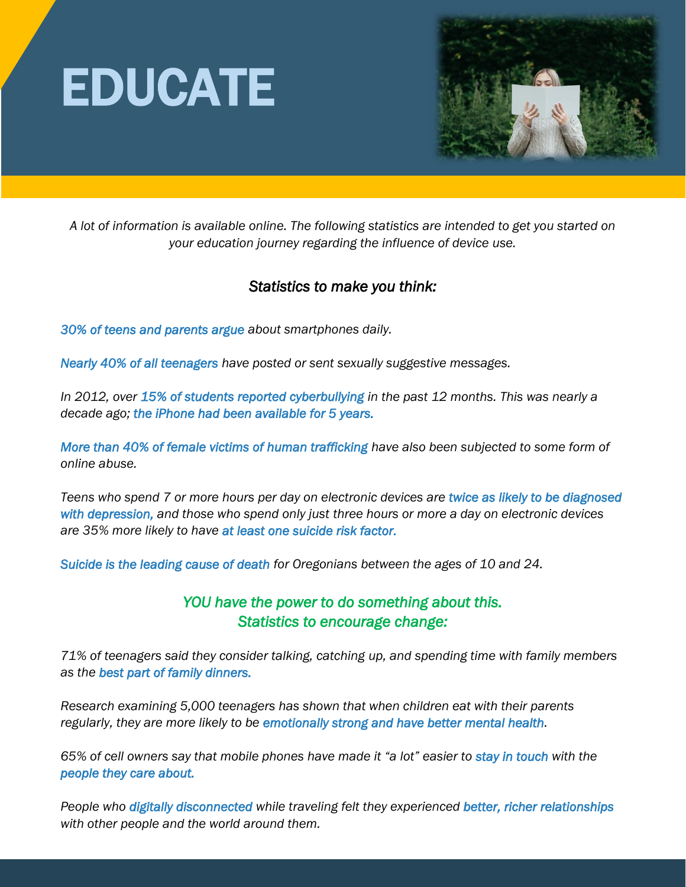



*A lot of information is available online. The following statistics are intended to get you started on your education journey regarding the influence of device use.*

## *Statistics to make you think:*

*30% of teens and parents argue about smartphones daily.* 

*Nearly 40% of all teenagers have posted or sent sexually suggestive messages.* 

*In 2012, over 15% of students reported cyberbullying in the past 12 months. This was nearly a decade ago; the iPhone had been available for 5 years.*

*More than 40% of female victims of human trafficking have also been subjected to some form of online abuse.*

*Teens who spend 7 or more hours per day on electronic devices are twice as likely to be diagnosed with depression, and those who spend only just three hours or more a day on electronic devices are 35% more likely to have at least one suicide risk factor.* 

*Suicide is the leading cause of death for Oregonians between the ages of 10 and 24.*

## *YOU have the power to do something about this. Statistics to encourage change:*

*71% of teenagers said they consider talking, catching up, and spending time with family members as the best part of family dinners.* 

*Research examining 5,000 teenagers has shown that when children eat with their parents regularly, they are more likely to be emotionally strong and have better mental health.*

*65% of cell owners say that mobile phones have made it "a lot" easier to stay in touch with the people they care about.* 

*People who digitally disconnected while traveling felt they experienced better, richer relationships with other people and the world around them.*